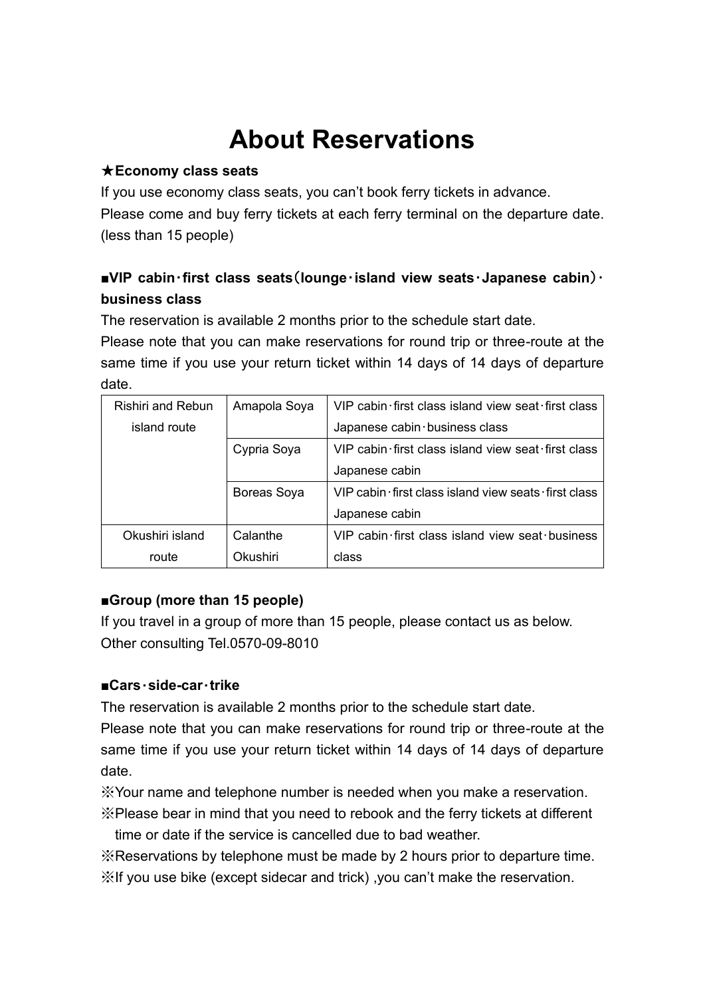# **About Reservations**

#### ★**Economy class seats**

If you use economy class seats, you can't book ferry tickets in advance. Please come and buy ferry tickets at each ferry terminal on the departure date. (less than 15 people)

## **■VIP cabin**・**first class seats**(**lounge**・**island view seats**・**Japanese cabin**)・ **business class**

The reservation is available 2 months prior to the schedule start date.

Please note that you can make reservations for round trip or three-route at the same time if you use your return ticket within 14 days of 14 days of departure date.

| <b>Rishiri and Rebun</b> | Amapola Soya | VIP cabin first class island view seat first class  |
|--------------------------|--------------|-----------------------------------------------------|
| island route             |              | Japanese cabin business class                       |
|                          | Cypria Soya  | VIP cabin first class island view seat first class  |
|                          |              | Japanese cabin                                      |
|                          | Boreas Soya  | VIP cabin first class island view seats first class |
|                          |              | Japanese cabin                                      |
| Okushiri island          | Calanthe     | VIP cabin first class island view seat business     |
| route                    | Okushiri     | class                                               |

### **■Group (more than 15 people)**

If you travel in a group of more than 15 people, please contact us as below. Other consulting Tel.0570-09-8010

### ■**Cars**・**side-car**・**trike**

The reservation is available 2 months prior to the schedule start date.

Please note that you can make reservations for round trip or three-route at the same time if you use your return ticket within 14 days of 14 days of departure date.

※Your name and telephone number is needed when you make a reservation.

※Please bear in mind that you need to rebook and the ferry tickets at different time or date if the service is cancelled due to bad weather.

※Reservations by telephone must be made by 2 hours prior to departure time. ※If you use bike (except sidecar and trick) ,you can't make the reservation.